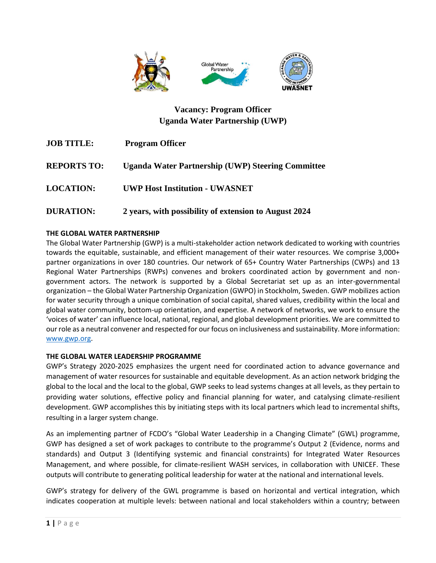

# **Vacancy: Program Officer Uganda Water Partnership (UWP)**

| <b>JOB TITLE:</b>  | <b>Program Officer</b>                                   |
|--------------------|----------------------------------------------------------|
| <b>REPORTS TO:</b> | <b>Uganda Water Partnership (UWP) Steering Committee</b> |
| <b>LOCATION:</b>   | <b>UWP Host Institution - UWASNET</b>                    |
| <b>DURATION:</b>   | 2 years, with possibility of extension to August 2024    |

# **THE GLOBAL WATER PARTNERSHIP**

The Global Water Partnership (GWP) is a multi-stakeholder action network dedicated to working with countries towards the equitable, sustainable, and efficient management of their water resources. We comprise 3,000+ partner organizations in over 180 countries. Our network of 65+ Country Water Partnerships (CWPs) and 13 Regional Water Partnerships (RWPs) convenes and brokers coordinated action by government and nongovernment actors. The network is supported by a Global Secretariat set up as an inter-governmental organization – the Global Water Partnership Organization (GWPO) in Stockholm, Sweden. GWP mobilizes action for water security through a unique combination of social capital, shared values, credibility within the local and global water community, bottom-up orientation, and expertise. A network of networks, we work to ensure the 'voices of water' can influence local, national, regional, and global development priorities. We are committed to our role as a neutral convener and respected for our focus on inclusiveness and sustainability. More information: [www.gwp.org.](http://www.gwp.org/)

## **THE GLOBAL WATER LEADERSHIP PROGRAMME**

GWP's Strategy 2020-2025 emphasizes the urgent need for coordinated action to advance governance and management of water resources for sustainable and equitable development. As an action network bridging the global to the local and the local to the global, GWP seeks to lead systems changes at all levels, as they pertain to providing water solutions, effective policy and financial planning for water, and catalysing climate-resilient development. GWP accomplishes this by initiating steps with its local partners which lead to incremental shifts, resulting in a larger system change.

As an implementing partner of FCDO's "Global Water Leadership in a Changing Climate" (GWL) programme, GWP has designed a set of work packages to contribute to the programme's Output 2 (Evidence, norms and standards) and Output 3 (Identifying systemic and financial constraints) for Integrated Water Resources Management, and where possible, for climate-resilient WASH services, in collaboration with UNICEF. These outputs will contribute to generating political leadership for water at the national and international levels.

GWP's strategy for delivery of the GWL programme is based on horizontal and vertical integration, which indicates cooperation at multiple levels: between national and local stakeholders within a country; between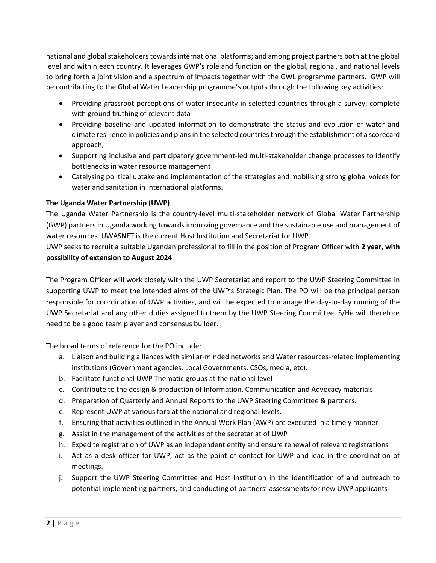national and global stakeholders towards international platforms; and among project partners both at the global level and within each country. It leverages GWP's role and function on the global, regional, and national levels to bring forth a joint vision and a spectrum of impacts together with the GWL programme partners. GWP will be contributing to the Global Water Leadership programme's outputs through the following key activities:

- Providing grassroot perceptions of water insecurity in selected countries through a survey, complete with ground truthing of relevant data
- Providing baseline and updated information to demonstrate the status and evolution of water and climate resilience in policies and plans in the selected countries through the establishment of a scorecard approach,
- Supporting inclusive and participatory government-led multi-stakeholder change processes to identify bottlenecks in water resource management
- Catalysing political uptake and implementation of the strategies and mobilising strong global voices for water and sanitation in international platforms.

# **The Uganda Water Partnership (UWP)**

The Uganda Water Partnership is the country-level multi-stakeholder network of Global Water Partnership (GWP) partners in Uganda working towards improving governance and the sustainable use and management of water resources. UWASNET is the current Host Institution and Secretariat for UWP.

UWP seeks to recruit a suitable Ugandan professional to fill in the position of Program Officer with **2 year, with possibility of extension to August 2024**

The Program Officer will work closely with the UWP Secretariat and report to the UWP Steering Committee in supporting UWP to meet the intended aims of the UWP's Strategic Plan. The PO will be the principal person responsible for coordination of UWP activities, and will be expected to manage the day-to-day running of the UWP Secretariat and any other duties assigned to them by the UWP Steering Committee. S/He will therefore need to be a good team player and consensus builder.

The broad terms of reference for the PO include:

- a. Liaison and building alliances with similar-minded networks and Water resources-related implementing institutions (Government agencies, Local Governments, CSOs, media, etc).
- b. Facilitate functional UWP Thematic groups at the national level
- c. Contribute to the design & production of Information, Communication and Advocacy materials
- d. Preparation of Quarterly and Annual Reports to the UWP Steering Committee & partners.
- e. Represent UWP at various fora at the national and regional levels.
- f. Ensuring that activities outlined in the Annual Work Plan (AWP) are executed in a timely manner
- g. Assist in the management of the activities of the secretariat of UWP
- h. Expedite registration of UWP as an independent entity and ensure renewal of relevant registrations
- i. Act as a desk officer for UWP, act as the point of contact for UWP and lead in the coordination of meetings.
- j. Support the UWP Steering Committee and Host Institution in the identification of and outreach to potential implementing partners, and conducting of partners' assessments for new UWP applicants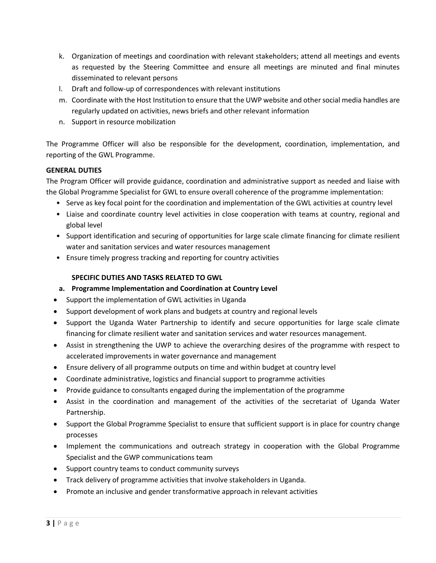- k. Organization of meetings and coordination with relevant stakeholders; attend all meetings and events as requested by the Steering Committee and ensure all meetings are minuted and final minutes disseminated to relevant persons
- l. Draft and follow-up of correspondences with relevant institutions
- m. Coordinate with the Host Institution to ensure that the UWP website and other social media handles are regularly updated on activities, news briefs and other relevant information
- n. Support in resource mobilization

The Programme Officer will also be responsible for the development, coordination, implementation, and reporting of the GWL Programme.

## **GENERAL DUTIES**

The Program Officer will provide guidance, coordination and administrative support as needed and liaise with the Global Programme Specialist for GWL to ensure overall coherence of the programme implementation:

- Serve as key focal point for the coordination and implementation of the GWL activities at country level
- Liaise and coordinate country level activities in close cooperation with teams at country, regional and global level
- Support identification and securing of opportunities for large scale climate financing for climate resilient water and sanitation services and water resources management
- Ensure timely progress tracking and reporting for country activities

## **SPECIFIC DUTIES AND TASKS RELATED TO GWL**

- **a. Programme Implementation and Coordination at Country Level**
- Support the implementation of GWL activities in Uganda
- Support development of work plans and budgets at country and regional levels
- Support the Uganda Water Partnership to identify and secure opportunities for large scale climate financing for climate resilient water and sanitation services and water resources management.
- Assist in strengthening the UWP to achieve the overarching desires of the programme with respect to accelerated improvements in water governance and management
- Ensure delivery of all programme outputs on time and within budget at country level
- Coordinate administrative, logistics and financial support to programme activities
- Provide guidance to consultants engaged during the implementation of the programme
- Assist in the coordination and management of the activities of the secretariat of Uganda Water Partnership.
- Support the Global Programme Specialist to ensure that sufficient support is in place for country change processes
- Implement the communications and outreach strategy in cooperation with the Global Programme Specialist and the GWP communications team
- Support country teams to conduct community surveys
- Track delivery of programme activities that involve stakeholders in Uganda.
- Promote an inclusive and gender transformative approach in relevant activities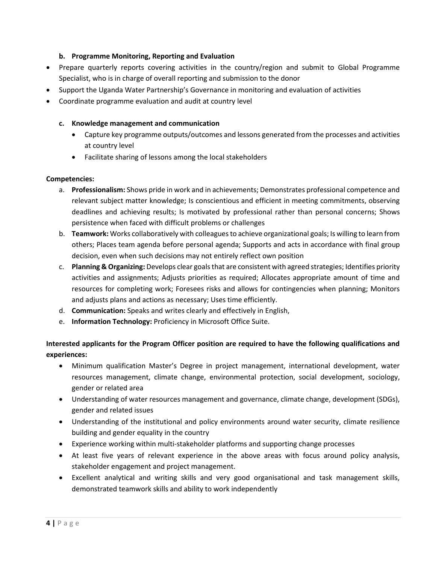## **b. Programme Monitoring, Reporting and Evaluation**

- Prepare quarterly reports covering activities in the country/region and submit to Global Programme Specialist, who is in charge of overall reporting and submission to the donor
- Support the Uganda Water Partnership's Governance in monitoring and evaluation of activities
- Coordinate programme evaluation and audit at country level

#### **c. Knowledge management and communication**

- Capture key programme outputs/outcomes and lessons generated from the processes and activities at country level
- Facilitate sharing of lessons among the local stakeholders

#### **Competencies:**

- a. **Professionalism:** Shows pride in work and in achievements; Demonstrates professional competence and relevant subject matter knowledge; Is conscientious and efficient in meeting commitments, observing deadlines and achieving results; Is motivated by professional rather than personal concerns; Shows persistence when faced with difficult problems or challenges
- b. **Teamwork:** Works collaboratively with colleagues to achieve organizational goals; Is willing to learn from others; Places team agenda before personal agenda; Supports and acts in accordance with final group decision, even when such decisions may not entirely reflect own position
- c. **Planning & Organizing:** Develops clear goals that are consistent with agreed strategies; Identifies priority activities and assignments; Adjusts priorities as required; Allocates appropriate amount of time and resources for completing work; Foresees risks and allows for contingencies when planning; Monitors and adjusts plans and actions as necessary; Uses time efficiently.
- d. **Communication:** Speaks and writes clearly and effectively in English,
- e. **Information Technology:** Proficiency in Microsoft Office Suite.

# **Interested applicants for the Program Officer position are required to have the following qualifications and experiences:**

- Minimum qualification Master's Degree in project management, international development, water resources management, climate change, environmental protection, social development, sociology, gender or related area
- Understanding of water resources management and governance, climate change, development (SDGs), gender and related issues
- Understanding of the institutional and policy environments around water security, climate resilience building and gender equality in the country
- Experience working within multi-stakeholder platforms and supporting change processes
- At least five years of relevant experience in the above areas with focus around policy analysis, stakeholder engagement and project management.
- Excellent analytical and writing skills and very good organisational and task management skills, demonstrated teamwork skills and ability to work independently